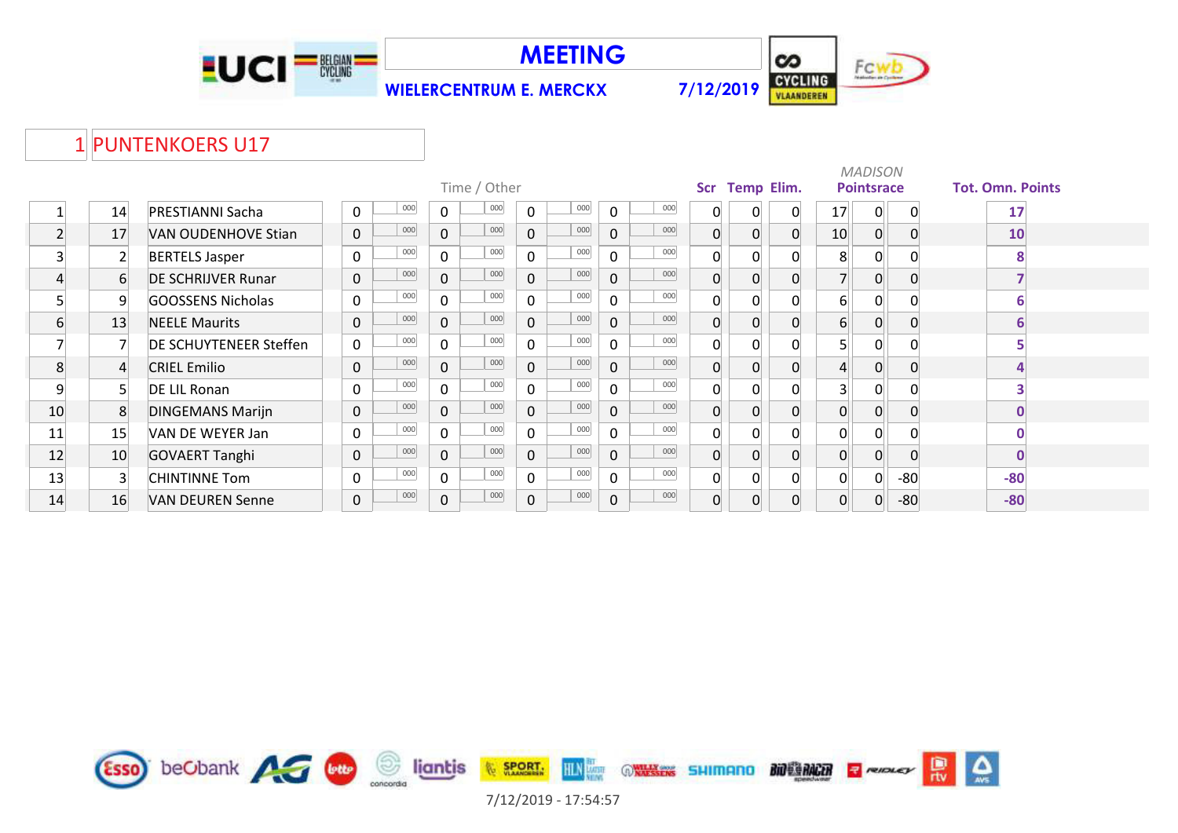





## 1 PUNTENKOERS U17

|    |                |                               |                     |     |              | Time / Other |              |     |                |     | Scr            | <b>Temp Elim.</b> |          |                 | <b>MADISON</b><br><b>Pointsrace</b> |          | <b>Tot. Omn. Points</b> |
|----|----------------|-------------------------------|---------------------|-----|--------------|--------------|--------------|-----|----------------|-----|----------------|-------------------|----------|-----------------|-------------------------------------|----------|-------------------------|
|    | 14             | <b>PRESTIANNI Sacha</b>       | 0                   | 000 | $\mathbf{0}$ | 000          | $\mathbf 0$  | 000 | $\mathbf 0$    | 000 | 0              | 0                 | 0        | 17              | $\overline{0}$                      | $\Omega$ | 17                      |
|    | 17             | VAN OUDENHOVE Stian           | $\pmb{0}$           | 000 | $\mathbf 0$  | 000          | $\mathbf{0}$ | 000 | $\mathbf 0$    | 000 | 0              | 0                 | $\Omega$ | 10 <sup>1</sup> | 0                                   |          | 10                      |
| 3  | 2              | <b>BERTELS Jasper</b>         | 0                   | 000 | 0            | 000          | $\Omega$     | 000 | 0              | 000 | 0              |                   | ∩        | 8               | 0                                   |          | 8                       |
| 4  | 6              | <b>DE SCHRIJVER Runar</b>     | $\mathbf 0$         | 000 | $\mathbf{0}$ | 000          | $\mathbf{0}$ | 000 | $\mathbf 0$    | 000 | $\overline{0}$ | 0                 | $\Omega$ | 7 <sup>1</sup>  | $\overline{0}$                      |          |                         |
| 5  | 9              | <b>GOOSSENS Nicholas</b>      | $\mathbf 0$         | 000 | $\Omega$     | 000          | $\Omega$     | 000 | $\mathbf 0$    | 000 | 0              | U                 | $\Omega$ | 6               | $\mathbf{0}$                        |          | 6                       |
| 6  | 13             | <b>NEELE Maurits</b>          | $\mathbf 0$         | 000 | $\mathbf{0}$ | 000          | $\mathbf 0$  | 000 | $\mathbf 0$    | 000 | 0              | O                 | $\Omega$ | 6 <sup>1</sup>  | 0                                   |          | 6                       |
|    |                | <b>DE SCHUYTENEER Steffen</b> | $\mathbf 0$         | 000 | $\Omega$     | 000          | $\Omega$     | 000 | $\mathbf 0$    | 000 | 0              |                   | $\Omega$ | 5               | $\Omega$                            |          |                         |
| 8  | $\overline{4}$ | <b>CRIEL Emilio</b>           | $\mathsf{O}\xspace$ | 000 | $\mathbf 0$  | 000          | $\mathbf 0$  | 000 | $\mathbf 0$    | 000 | $\overline{0}$ | $\Omega$          | $\Omega$ | $\overline{4}$  | 0                                   |          | 4                       |
| 9  |                | DE LIL Ronan                  | $\mathbf 0$         | 000 | $\Omega$     | 000          | $\Omega$     | 000 | 0              | 000 | 0              |                   | $\Omega$ | 3 <sup>1</sup>  | $\overline{0}$                      |          |                         |
| 10 | 8              | <b>DINGEMANS Marijn</b>       | $\mathbf 0$         | 000 | $\mathbf{0}$ | 000          | $\mathbf{0}$ | 000 | $\overline{0}$ | 000 | $\overline{0}$ | O                 | $\Omega$ | 0               | $\Omega$                            |          | $\mathbf 0$             |
| 11 | 15             | VAN DE WEYER Jan              | $\mathbf 0$         | 000 | $\mathbf 0$  | 000          | $\mathbf 0$  | 000 | 0              | 000 | 0              |                   |          | 0               | $\overline{0}$                      |          | $\bf{0}$                |
| 12 | 10             | <b>GOVAERT Tanghi</b>         | $\mathbf 0$         | 000 | $\mathbf{0}$ | 000          | $\mathbf 0$  | 000 | $\mathbf 0$    | 000 | 0              | $\Omega$          | $\Omega$ | 0               | $\overline{0}$                      |          | $\mathbf 0$             |
| 13 | 3              | <b>CHINTINNE Tom</b>          | $\mathbf 0$         | 000 | $\Omega$     | 000          | $\Omega$     | 000 | $\mathbf 0$    | 000 | 0              |                   | $\Omega$ | 0               | $\overline{0}$                      | $-80$    | $-80$                   |
| 14 | 16             | VAN DEUREN Senne              | $\mathbf 0$         | 000 | $\mathbf 0$  | 000          | $\mathbf 0$  | 000 | $\pmb{0}$      | 000 | $\overline{0}$ | 0                 | $\Omega$ | 0               | $\overline{0}$                      | $-80$    | $-80$                   |

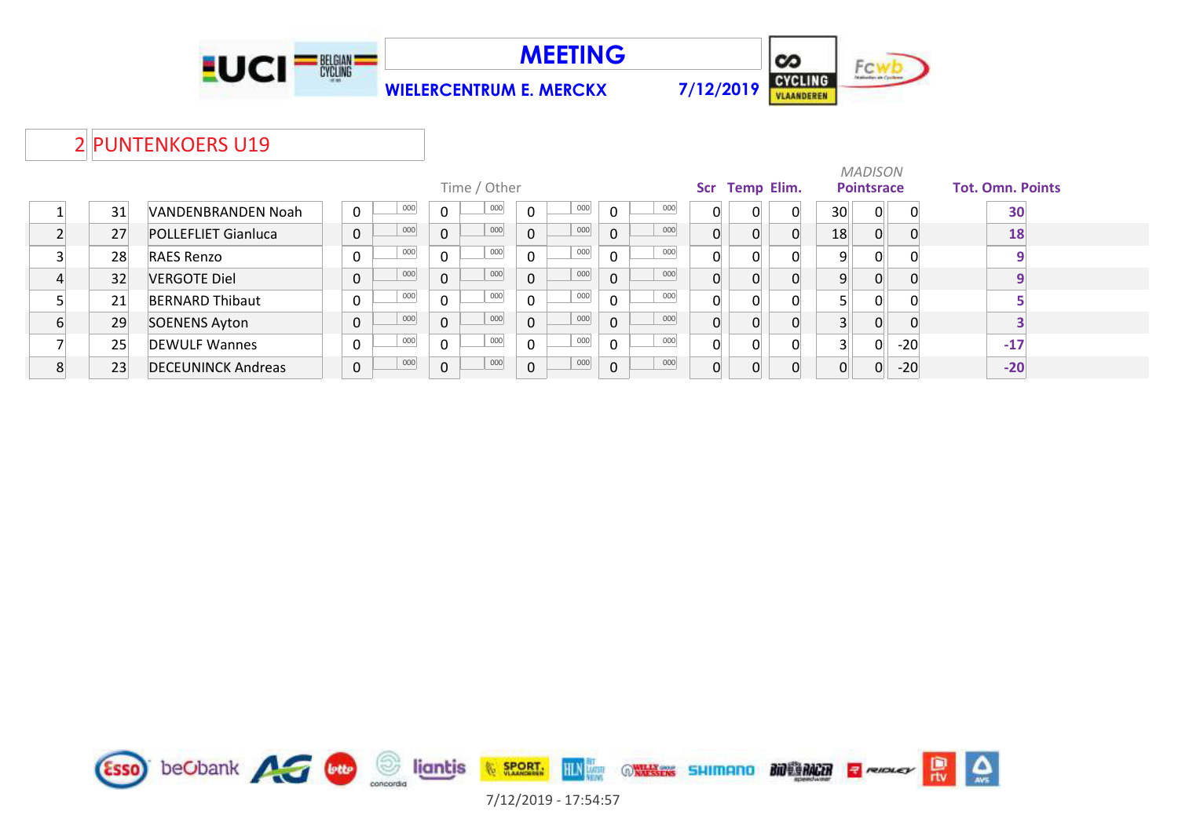





#### 2 PUNTENKOERS U19

|    |                            |   |     |                | Time / Other |              |     |              |     |                | Scr Temp Elim. |   |          | <b>MADISON</b><br><b>Pointsrace</b> |       | <b>Tot. Omn. Points</b> |
|----|----------------------------|---|-----|----------------|--------------|--------------|-----|--------------|-----|----------------|----------------|---|----------|-------------------------------------|-------|-------------------------|
| 31 | VANDENBRANDEN Noah         | 0 | 000 | 0              | 000          | $\mathbf{0}$ | 000 | $\Omega$     | 000 | 0              | 0              |   | 30       | $\overline{0}$                      | 0     | 30                      |
| 27 | <b>POLLEFLIET Gianluca</b> | 0 | 000 | $\overline{0}$ | 000          | $\mathbf 0$  | 000 | $\Omega$     | 000 | $\overline{0}$ | 0              |   | 18       | $\Omega$                            |       | 18                      |
| 28 | <b>RAES Renzo</b>          | 0 | 000 | $\overline{0}$ | 000          | $\mathbf 0$  | 000 | $\Omega$     | 000 | $\Omega$       | 0              |   | 9        | $\overline{0}$                      |       |                         |
| 32 | <b>VERGOTE Diel</b>        | 0 | 000 | $\overline{0}$ | 000          | $\mathbf{0}$ | 000 | $\Omega$     | 000 | $\overline{0}$ | 0              |   | q        | $\Omega$                            | 0     |                         |
| 21 | <b>BERNARD Thibaut</b>     | 0 | 000 | 0              | 000          | $\Omega$     | 000 | $\Omega$     | 000 | 0              | 0              |   |          | 0                                   |       |                         |
| 29 | <b>SOENENS Ayton</b>       | 0 | 000 | $\overline{0}$ | 000          | $\mathbf 0$  | 000 | $\mathbf{0}$ | 000 | $\Omega$       | 0              | 0 |          | $\overline{0}$                      |       |                         |
| 25 | <b>DEWULF Wannes</b>       | 0 | 000 | $\overline{0}$ | 000          | $\Omega$     | 000 | $\Omega$     | 000 | $\Omega$       | $\Omega$       |   |          | 0                                   | $-20$ | $-17$                   |
| 23 | <b>DECEUNINCK Andreas</b>  | 0 | 000 | $\overline{0}$ | 000          | $\mathbf{0}$ | 000 | $\Omega$     | 000 | $\overline{0}$ |                | 0 | $\Omega$ | $\overline{0}$                      | $-20$ | $-20$                   |

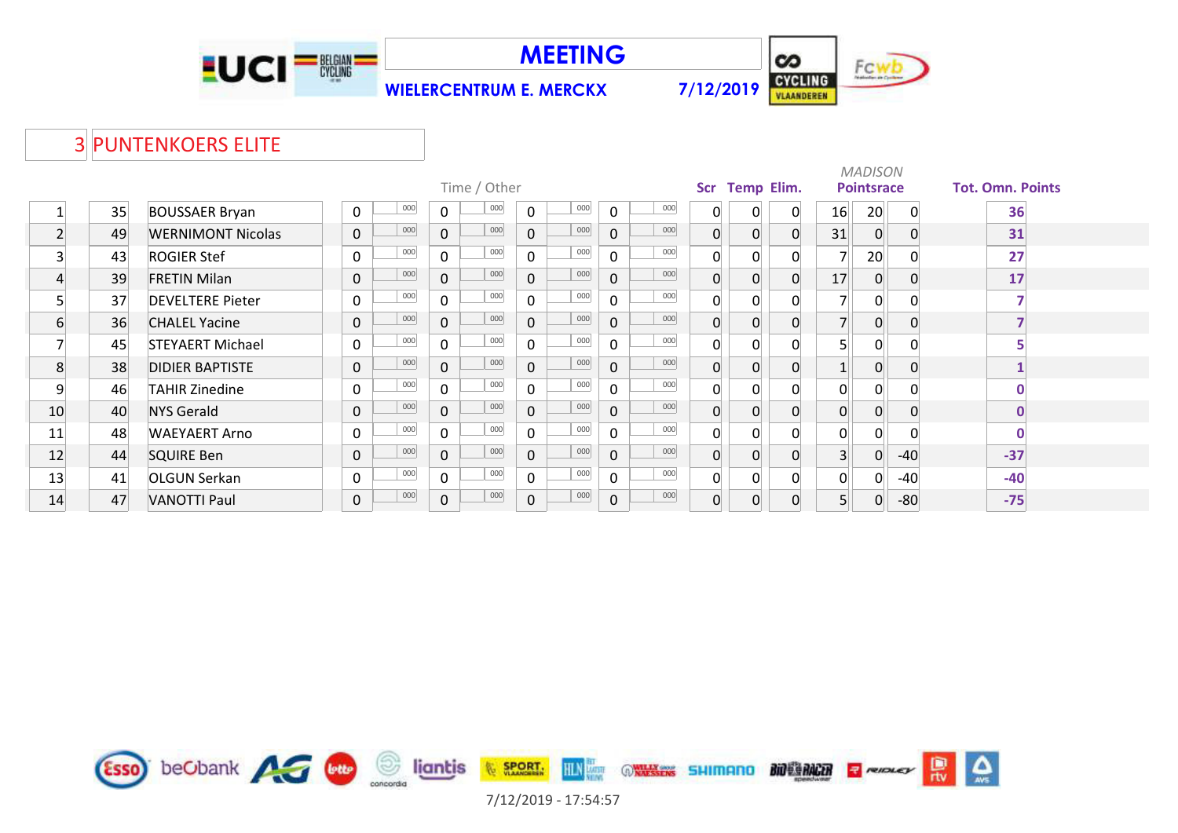

**MEETING**



#### PUNTENKOERS ELITE

|                |    |                          |              |     |              |              |              |         |                |     |     |                   |                | <b>MADISON</b>    |          |                         |
|----------------|----|--------------------------|--------------|-----|--------------|--------------|--------------|---------|----------------|-----|-----|-------------------|----------------|-------------------|----------|-------------------------|
|                |    |                          |              |     |              | Time / Other |              |         |                |     | Scr | <b>Temp Elim.</b> |                | <b>Pointsrace</b> |          | <b>Tot. Omn. Points</b> |
|                | 35 | <b>BOUSSAER Bryan</b>    | $\mathbf{0}$ | 000 | $\mathbf{0}$ | 000          | $\mathbf 0$  | 000     | $\mathbf 0$    | 000 | 0   | $\Omega$          | 16             | 20                | $\Omega$ | 36                      |
| $\overline{2}$ | 49 | <b>WERNIMONT Nicolas</b> | $\mathbf 0$  | 000 | $\Omega$     | 000          | $\mathbf{0}$ | 000     | $\mathbf 0$    | 000 | 0   | 0                 | 31             | $\mathbf 0$       |          | 31                      |
| 3              | 43 | <b>ROGIER Stef</b>       | $\mathbf{0}$ | 000 | 0            | $000\,$      | $\mathbf 0$  | $000\,$ | $\mathbf 0$    | 000 | 0   | $\Omega$          | $\overline{ }$ | 20                |          | 27                      |
| 4              | 39 | <b>FRETIN Milan</b>      | $\mathbf 0$  | 000 | $\mathbf{0}$ | 000          | $\mathbf 0$  | 000     | $\mathsf{O}$   | 000 | 0   | $\Omega$          | 17             | $\mathbf 0$       |          | 17                      |
| 5              | 37 | <b>DEVELTERE Pieter</b>  | $\Omega$     | 000 | $\Omega$     | $000\,$      | $\Omega$     | 000     | $\mathbf 0$    | 000 | 0   | 0                 |                | 0                 |          |                         |
| 6              | 36 | <b>CHALEL Yacine</b>     | $\mathbf 0$  | 000 | $\mathbf{0}$ | 000          | $\mathbf{0}$ | 000     | $\mathbf 0$    | 000 | 0   | 0                 | $\overline{ }$ | 0                 |          |                         |
|                | 45 | <b>STEYAERT Michael</b>  | $\mathbf 0$  | 000 | $\Omega$     | 000          | $\Omega$     | 000     | $\mathbf 0$    | 000 | 0   | 0                 | 5              | $\Omega$          |          |                         |
| 8              | 38 | <b>DIDIER BAPTISTE</b>   | $\mathbf 0$  | 000 | $\mathbf 0$  | 000          | $\mathbf 0$  | 000     | $\overline{0}$ | 000 | 0   | 0                 |                | 0                 |          |                         |
| 9              | 46 | <b>TAHIR Zinedine</b>    | $\mathbf 0$  | 000 | $\Omega$     | 000          | $\Omega$     | 000     | $\Omega$       | 000 | 0   | 0                 | 0              | 0                 |          |                         |
| 10             | 40 | <b>NYS Gerald</b>        | $\mathbf 0$  | 000 | $\mathbf{0}$ | 000          | $\mathbf{0}$ | 000     | 0              | 000 | 0   | 0                 | $\overline{0}$ | $\Omega$          |          | $\mathbf 0$             |
| 11             | 48 | <b>WAEYAERT Arno</b>     | 0            | 000 | $\Omega$     | 000          | $\Omega$     | 000     | $\mathbf 0$    | 000 | 0   |                   | $\Omega$       |                   |          | 0                       |
| 12             | 44 | <b>SQUIRE Ben</b>        | $\mathbf{0}$ | 000 | $\Omega$     | 000          | $\mathbf 0$  | 000     | $\mathbf{0}$   | 000 | 0   | $\Omega$          | $\overline{3}$ | 0                 | $-40$    | $-37$                   |
| 13             | 41 | <b>OLGUN Serkan</b>      | 0            | 000 | $\Omega$     | 000          | $\Omega$     | 000     | $\mathbf{0}$   | 000 | n   | 0                 | $\Omega$       |                   | $-40$    | $-40$                   |
| 14             | 47 | VANOTTI Paul             | 0            | 000 | 0            | 000          | $\mathbf 0$  | 000     | $\pmb{0}$      | 000 | 0   | $\overline{0}$    | 5 <sup>1</sup> | 0                 | $-80$    | $-75$                   |

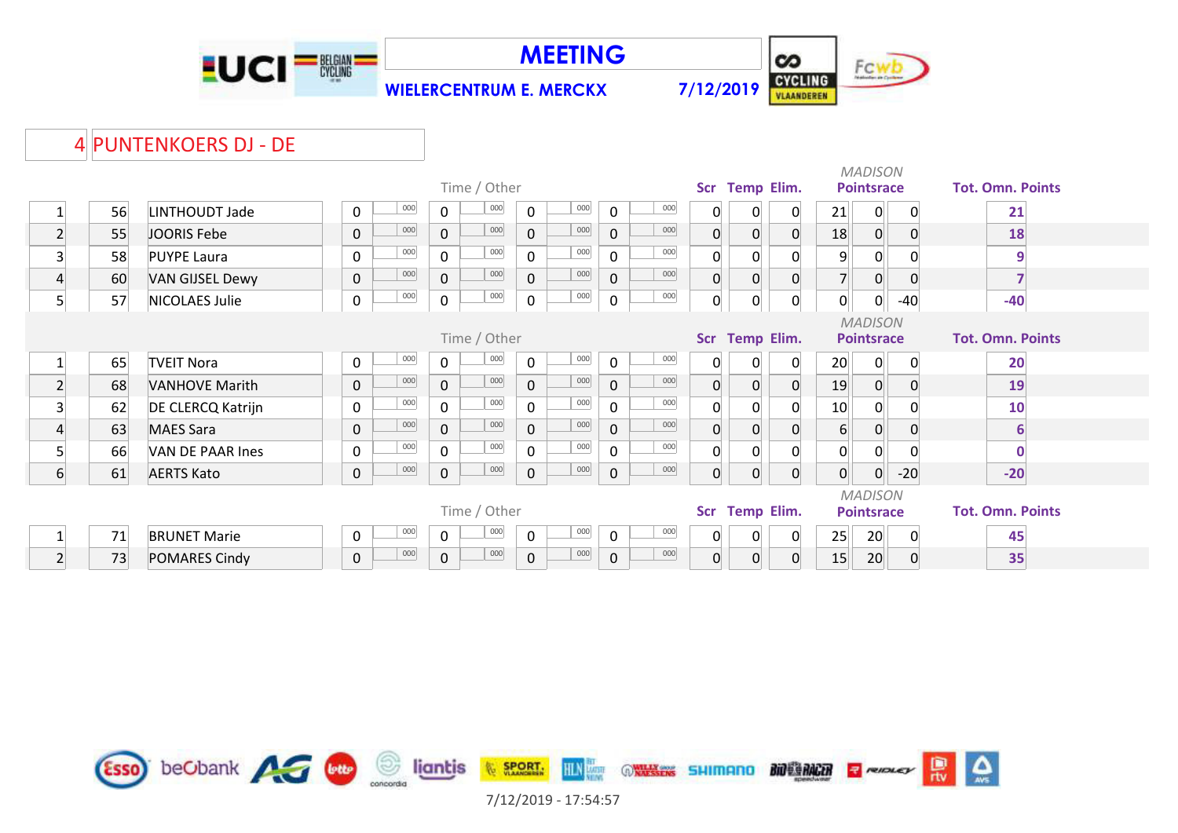

**MEETING**



#### PUNTENKOERS DJ - DE

|                |    |                        |                    |                       |              |     |             |     |                |                   |                |                | <b>MADISON</b>    |                |                         |
|----------------|----|------------------------|--------------------|-----------------------|--------------|-----|-------------|-----|----------------|-------------------|----------------|----------------|-------------------|----------------|-------------------------|
|                |    |                        |                    | Time / Other          |              |     |             |     |                | Scr Temp Elim.    |                |                | <b>Pointsrace</b> |                | <b>Tot. Omn. Points</b> |
|                | 56 | LINTHOUDT Jade         | 000<br>0           | 000<br>$\mathbf 0$    | $\mathbf 0$  | 000 | $\mathbf 0$ | 000 | 0              | 0                 | 0              | 21             | 0                 | $\mathbf{0}$   | 21                      |
| $\overline{2}$ | 55 | JOORIS Febe            | 000<br>0           | 000<br>$\overline{0}$ | $\mathsf{O}$ | 000 | $\mathbf 0$ | 000 | $\overline{0}$ | $\Omega$          | $\overline{0}$ | 18             | $\overline{0}$    | $\Omega$       | 18                      |
| 3              | 58 | <b>PUYPE Laura</b>     | 000<br>$\mathbf 0$ | 000<br>$\mathsf{O}$   | $\mathbf 0$  | 000 | 0           | 000 | $\overline{0}$ | $\Omega$          | $\mathbf{0}$   | $\overline{9}$ | $\overline{0}$    | ∩              | 9                       |
| $\overline{4}$ | 60 | <b>VAN GIJSEL Dewy</b> | 000<br>0           | 000<br>$\mathbf{0}$   | $\mathbf 0$  | 000 | $\mathbf 0$ | 000 | $\overline{0}$ | $\Omega$          | $\mathbf 0$    |                | 0                 | $\Omega$       |                         |
| 5              | 57 | NICOLAES Julie         | 000<br>0           | 000<br>$\mathsf{O}$   | $\pmb{0}$    | 000 | 0           | 000 | $\overline{0}$ | 0                 | $\mathbf 0$    | 0              | 0                 | $-40$          | $-40$                   |
|                |    |                        |                    |                       |              |     |             |     |                |                   |                |                | <b>MADISON</b>    |                |                         |
|                |    |                        |                    | Time / Other          |              |     |             |     |                | Scr Temp Elim.    |                |                | <b>Pointsrace</b> |                | <b>Tot. Omn. Points</b> |
|                | 65 | <b>TVEIT Nora</b>      | 000<br>0           | 000<br>$\mathbf 0$    | $\mathbf 0$  | 000 | $\mathbf 0$ | 000 | $\overline{0}$ | 0                 | 0              | 20             | 0                 | $\mathbf{0}$   | 20                      |
| $\overline{2}$ | 68 | <b>VANHOVE Marith</b>  | 000<br>$\mathbf 0$ | 000<br>$\overline{0}$ | $\mathbf 0$  | 000 | $\mathbf 0$ | 000 | $\overline{0}$ | $\Omega$          | $\mathbf 0$    | 19             | $\overline{0}$    | $\overline{0}$ | 19                      |
| 3              | 62 | DE CLERCQ Katrijn      | 000<br>$\mathbf 0$ | 000<br>$\mathbf 0$    | 0            | 000 | 0           | 000 | $\overline{0}$ |                   | $\mathbf{0}$   | 10             | 0                 |                | 10                      |
| 4              | 63 | <b>MAES Sara</b>       | 000<br>0           | 000<br>0              | $\mathbf 0$  | 000 | $\mathbf 0$ | 000 | $\overline{0}$ |                   | $\overline{0}$ | $6 \mid$       | $\overline{0}$    | $\Omega$       | 6                       |
| 5              | 66 | VAN DE PAAR Ines       | 000<br>0           | 000<br>$\mathbf 0$    | 0            | 000 | 0           | 000 | $\mathbf{0}$   | ი                 | $\mathbf{0}$   | 0              | $\overline{0}$    | $\Omega$       |                         |
| 6              | 61 | <b>AERTS Kato</b>      | 000<br>0           | 000<br>$\mathbf 0$    | 0            | 000 | $\mathbf 0$ | 000 | $\overline{0}$ | $\Omega$          | $\overline{0}$ | $\overline{0}$ | 0                 | $-20$          | $-20$                   |
|                |    |                        |                    |                       |              |     |             |     |                |                   |                |                | <b>MADISON</b>    |                |                         |
|                |    |                        |                    | Time / Other          |              |     |             |     | <b>Scr</b>     | <b>Temp Elim.</b> |                |                | <b>Pointsrace</b> |                | <b>Tot. Omn. Points</b> |
|                | 71 | <b>BRUNET Marie</b>    | 000<br>0           | 000<br>$\mathbf 0$    | 0            | 000 | $\mathbf 0$ | 000 | $\overline{0}$ | 0                 | 0              | 25             | 20 <sup>°</sup>   | 0              | 45                      |
| $\overline{2}$ | 73 | <b>POMARES Cindy</b>   | 000<br>0           | 000<br>$\mathbf 0$    | 0            | 000 | 0           | 000 | $\overline{0}$ | 0                 | $\mathbf 0$    | 15             | 20                | 0              | 35                      |

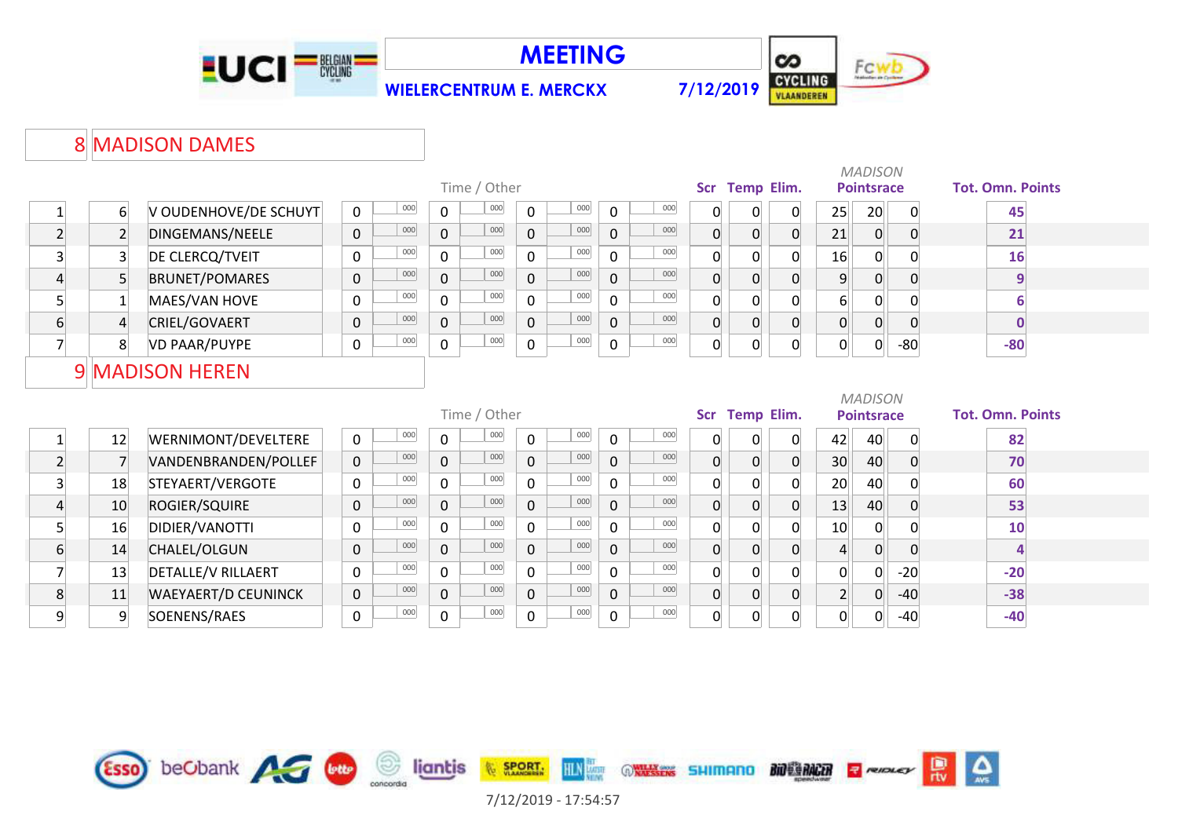





## 8 MADISON DAMES

|                         |                |                            |              |     |              | Time / Other |              |     |              |     |                  |                | Scr Temp Elim.    |                  | <b>MADISON</b><br><b>Pointsrace</b> |              | <b>Tot. Omn. Points</b> |
|-------------------------|----------------|----------------------------|--------------|-----|--------------|--------------|--------------|-----|--------------|-----|------------------|----------------|-------------------|------------------|-------------------------------------|--------------|-------------------------|
|                         |                |                            |              |     |              |              |              |     |              |     |                  |                |                   |                  |                                     |              |                         |
| $\mathbf{1}$            | $6 \mid$       | V OUDENHOVE/DE SCHUYT      | $\mathbf 0$  | 000 | $\mathbf 0$  | 000          | 0            | 000 | 0            | 000 | 0                | 0              | 0                 | 25               | 20                                  | $\mathbf{0}$ | 45                      |
| $\overline{2}$          | $\overline{2}$ | DINGEMANS/NEELE            | $\mathbf 0$  | 000 | $\mathbf 0$  | 000          | $\mathbf{0}$ | 000 | $\mathbf 0$  | 000 | $\boldsymbol{0}$ | $\Omega$       | $\overline{0}$    | 21               | $\mathbf 0$                         | $\Omega$     | 21                      |
| 3                       | $\overline{3}$ | DE CLERCQ/TVEIT            | $\mathbf 0$  | 000 | $\mathbf 0$  | 000          | $\Omega$     | 000 | $\mathbf 0$  | 000 | $\mathbf 0$      | $\Omega$       | $\overline{0}$    | 16               | $\overline{0}$                      | $\Omega$     | 16                      |
| $\overline{4}$          | 5 <sup>1</sup> | <b>BRUNET/POMARES</b>      | $\mathbf 0$  | 000 | $\mathbf 0$  | 000          | $\mathbf 0$  | 000 | $\mathbf 0$  | 000 | $\boldsymbol{0}$ | $\overline{0}$ | $\overline{0}$    | $\overline{9}$   | $\overline{0}$                      | 0            | $\overline{9}$          |
| 5 <sup>1</sup>          | $\mathbf{1}$   | MAES/VAN HOVE              | $\mathbf 0$  | 000 | $\Omega$     | 000          | $\Omega$     | 000 | $\Omega$     | 000 | $\mathbf 0$      | $\Omega$       | $\overline{0}$    | $6 \overline{6}$ | 0                                   |              | 6                       |
| $6 \overline{6}$        | $\overline{4}$ | CRIEL/GOVAERT              | $\mathbf 0$  | 000 | $\mathbf{0}$ | 000          | $\mathbf{0}$ | 000 | $\mathbf 0$  | 000 | $\overline{0}$   | $\overline{0}$ | $\overline{0}$    | $\mathbf 0$      | $\overline{0}$                      | $\mathbf 0$  | $\bf{0}$                |
| $\overline{7}$          | 8 <sup>1</sup> | <b>VD PAAR/PUYPE</b>       | $\mathbf 0$  | 000 | $\mathbf 0$  | 000          | $\mathbf 0$  | 000 | $\pmb{0}$    | 000 | 0                | $\Omega$       | $\mathbf 0$       | 0                | $\overline{0}$                      | $-80$        | $-80$                   |
|                         |                | 9 MADISON HEREN            |              |     |              |              |              |     |              |     |                  |                |                   |                  |                                     |              |                         |
|                         |                |                            |              |     |              |              |              |     |              |     |                  |                |                   |                  |                                     |              |                         |
|                         |                |                            |              |     |              |              |              |     |              |     |                  |                |                   |                  | <b>MADISON</b>                      |              |                         |
|                         |                |                            |              |     |              | Time / Other |              |     |              |     | <b>Scr</b>       |                | <b>Temp Elim.</b> |                  | <b>Pointsrace</b>                   |              | <b>Tot. Omn. Points</b> |
| 1                       | 12             | WERNIMONT/DEVELTERE        | $\mathbf 0$  | 000 | $\mathsf{O}$ | 000          | 0            | 000 | 0            | 000 | $\mathbf 0$      | 0              | $\overline{0}$    | 42               | 40                                  | 0            | 82                      |
| $\overline{2}$          | $\overline{7}$ | VANDENBRANDEN/POLLEF       | $\mathbf 0$  | 000 | $\mathbf 0$  | 000          | $\Omega$     | 000 | $\mathbf{0}$ | 000 | $\overline{0}$   | $\overline{0}$ | $\overline{0}$    | 30 <sup>°</sup>  | 40                                  | $\Omega$     | 70                      |
| $\overline{\mathbf{3}}$ | 18             | STEYAERT/VERGOTE           | $\mathsf{O}$ | 000 | $\Omega$     | 000          | $\Omega$     | 000 | $\mathbf 0$  | 000 | 0                | $\Omega$       | $\overline{0}$    | 20               | 40                                  | 0            | 60                      |
| $\overline{a}$          | 10             | ROGIER/SQUIRE              | $\mathbf 0$  | 000 | $\mathbf{0}$ | 000          | $\mathbf 0$  | 000 | $\mathbf 0$  | 000 | $\boldsymbol{0}$ | $\Omega$       | $\overline{0}$    | 13               | 40                                  |              | 53                      |
| $\overline{5}$          | 16             | DIDIER/VANOTTI             | 0            | 000 | 0            | 000          | $\Omega$     | 000 | $\mathbf 0$  | 000 | $\mathbf 0$      | $\Omega$       | $\overline{0}$    | 10               | $\mathbf 0$                         |              | 10                      |
| 6                       | 14             | CHALEL/OLGUN               | $\mathbf 0$  | 000 | $\mathbf{0}$ | 000          | $\mathbf 0$  | 000 | $\mathbf{0}$ | 000 | $\boldsymbol{0}$ | $\Omega$       | $\overline{0}$    | $\overline{4}$   | $\overline{0}$                      | $\Omega$     | 4                       |
| 7                       | 13             | DETALLE/V RILLAERT         | $\mathbf 0$  | 000 | $\Omega$     | 000          | $\Omega$     | 000 | $\Omega$     | 000 | $\mathbf 0$      | $\Omega$       | $\overline{0}$    | $\overline{0}$   | $\overline{0}$                      | $-20$        | $-20$                   |
| 8                       | 11             | <b>WAEYAERT/D CEUNINCK</b> | $\mathbf 0$  | 000 | $\mathbf{0}$ | 000          | $\mathbf 0$  | 000 | $\mathbf 0$  | 000 | $\overline{0}$   | $\overline{0}$ | $\overline{0}$    | $\overline{2}$   | $\overline{0}$                      | $-40$        | $-38$                   |

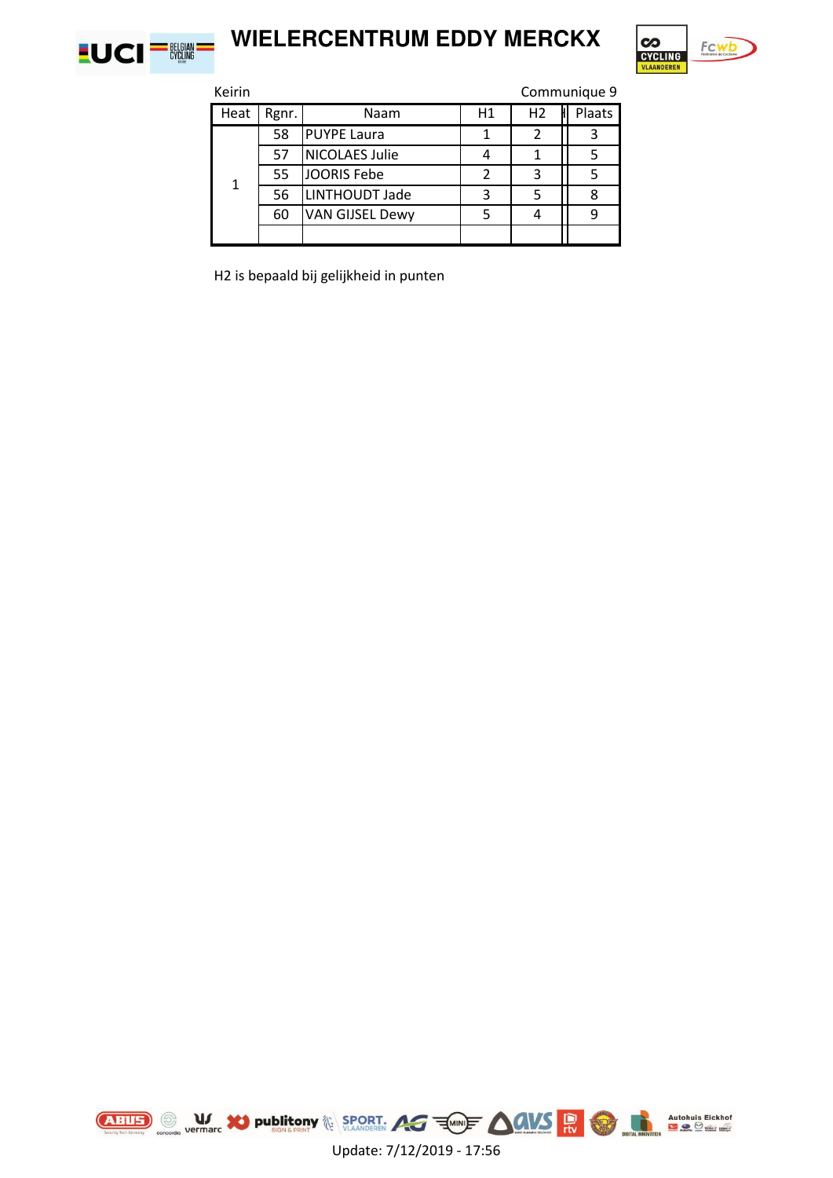

# **WIELERCENTRUM EDDY MERCKX**



Keirin Communique 9 Heat Rgnr. Naam H1 H1 H2 H Plaats 58 PUYPE Laura | 1 | 2 | 3 57 NICOLAES Julie | 4 | 1 | 5 55 JOORIS Febe 2 3 3 5 56 LINTHOUDT Jade 3 3 5 3 8 60 VAN GIJSEL Dewy 5 4 9 1

H2 is bepaald bij gelijkheid in punten



Update: 7/12/2019 - 17:56